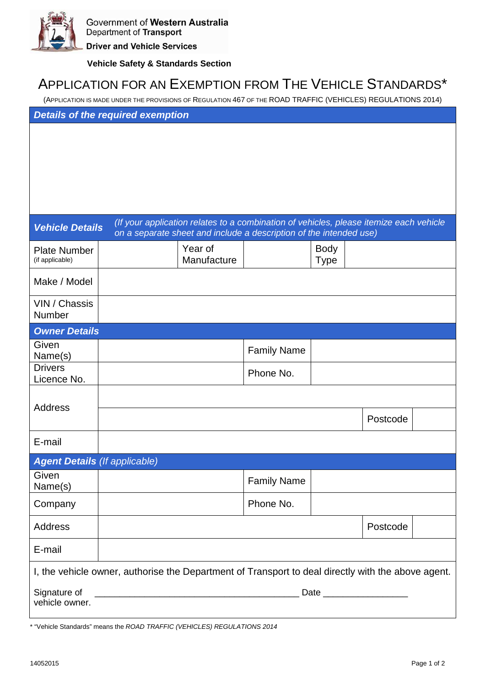

## **Driver and Vehicle Services**

## **Vehicle Safety & Standards Section**

## APPLICATION FOR AN EXEMPTION FROM THE VEHICLE STANDARDS\*

(APPLICATION IS MADE UNDER THE PROVISIONS OF REGULATION 467 OF THE ROAD TRAFFIC (VEHICLES) REGULATIONS 2014)

|                                        | <b>Details of the required exemption</b>                                                           |                        |                                                                                                                                                              |                            |          |  |
|----------------------------------------|----------------------------------------------------------------------------------------------------|------------------------|--------------------------------------------------------------------------------------------------------------------------------------------------------------|----------------------------|----------|--|
|                                        |                                                                                                    |                        |                                                                                                                                                              |                            |          |  |
| <b>Vehicle Details</b>                 |                                                                                                    |                        | (If your application relates to a combination of vehicles, please itemize each vehicle<br>on a separate sheet and include a description of the intended use) |                            |          |  |
| <b>Plate Number</b><br>(if applicable) |                                                                                                    | Year of<br>Manufacture |                                                                                                                                                              | <b>Body</b><br><b>Type</b> |          |  |
| Make / Model                           |                                                                                                    |                        |                                                                                                                                                              |                            |          |  |
| VIN / Chassis<br>Number                |                                                                                                    |                        |                                                                                                                                                              |                            |          |  |
| <b>Owner Details</b>                   |                                                                                                    |                        |                                                                                                                                                              |                            |          |  |
| Given<br>Name(s)                       |                                                                                                    |                        | <b>Family Name</b>                                                                                                                                           |                            |          |  |
| <b>Drivers</b><br>Licence No.          |                                                                                                    |                        | Phone No.                                                                                                                                                    |                            |          |  |
| Address                                |                                                                                                    |                        |                                                                                                                                                              |                            |          |  |
|                                        |                                                                                                    |                        |                                                                                                                                                              |                            | Postcode |  |
| E-mail                                 |                                                                                                    |                        |                                                                                                                                                              |                            |          |  |
| <b>Agent Details (If applicable)</b>   |                                                                                                    |                        |                                                                                                                                                              |                            |          |  |
| Given<br>Name(s)                       |                                                                                                    |                        | <b>Family Name</b>                                                                                                                                           |                            |          |  |
| Company                                |                                                                                                    |                        | Phone No.                                                                                                                                                    |                            |          |  |
| <b>Address</b>                         |                                                                                                    |                        |                                                                                                                                                              |                            | Postcode |  |
| E-mail                                 |                                                                                                    |                        |                                                                                                                                                              |                            |          |  |
|                                        | I, the vehicle owner, authorise the Department of Transport to deal directly with the above agent. |                        |                                                                                                                                                              |                            |          |  |
| Signature of<br>vehicle owner.         |                                                                                                    |                        |                                                                                                                                                              |                            |          |  |

\* "Vehicle Standards" means the ROAD TRAFFIC (VEHICLES) REGULATIONS 2014